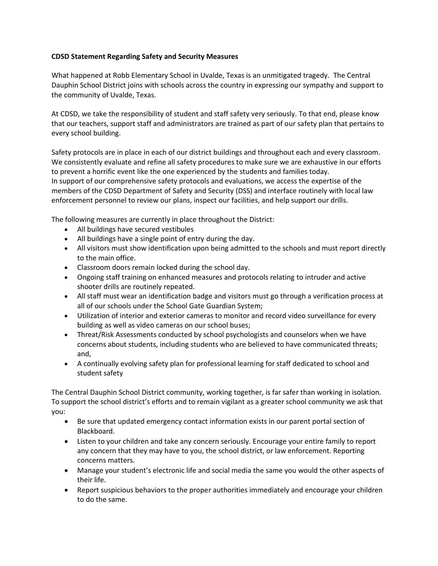## **CDSD Statement Regarding Safety and Security Measures**

What happened at Robb Elementary School in Uvalde, Texas is an unmitigated tragedy. The Central Dauphin School District joins with schools across the country in expressing our sympathy and support to the community of Uvalde, Texas.

At CDSD, we take the responsibility of student and staff safety very seriously. To that end, please know that our teachers, support staff and administrators are trained as part of our safety plan that pertains to every school building.

Safety protocols are in place in each of our district buildings and throughout each and every classroom. We consistently evaluate and refine all safety procedures to make sure we are exhaustive in our efforts to prevent a horrific event like the one experienced by the students and families today. In support of our comprehensive safety protocols and evaluations, we access the expertise of the members of the CDSD Department of Safety and Security (DSS) and interface routinely with local law enforcement personnel to review our plans, inspect our facilities, and help support our drills.

The following measures are currently in place throughout the District:

- All buildings have secured vestibules
- All buildings have a single point of entry during the day.
- All visitors must show identification upon being admitted to the schools and must report directly to the main office.
- Classroom doors remain locked during the school day.
- Ongoing staff training on enhanced measures and protocols relating to intruder and active shooter drills are routinely repeated.
- All staff must wear an identification badge and visitors must go through a verification process at all of our schools under the School Gate Guardian System;
- Utilization of interior and exterior cameras to monitor and record video surveillance for every building as well as video cameras on our school buses;
- Threat/Risk Assessments conducted by school psychologists and counselors when we have concerns about students, including students who are believed to have communicated threats; and,
- A continually evolving safety plan for professional learning for staff dedicated to school and student safety

The Central Dauphin School District community, working together, is far safer than working in isolation. To support the school district's efforts and to remain vigilant as a greater school community we ask that you:

- Be sure that updated emergency contact information exists in our parent portal section of Blackboard.
- Listen to your children and take any concern seriously. Encourage your entire family to report any concern that they may have to you, the school district, or law enforcement. Reporting concerns matters.
- Manage your student's electronic life and social media the same you would the other aspects of their life.
- Report suspicious behaviors to the proper authorities immediately and encourage your children to do the same.